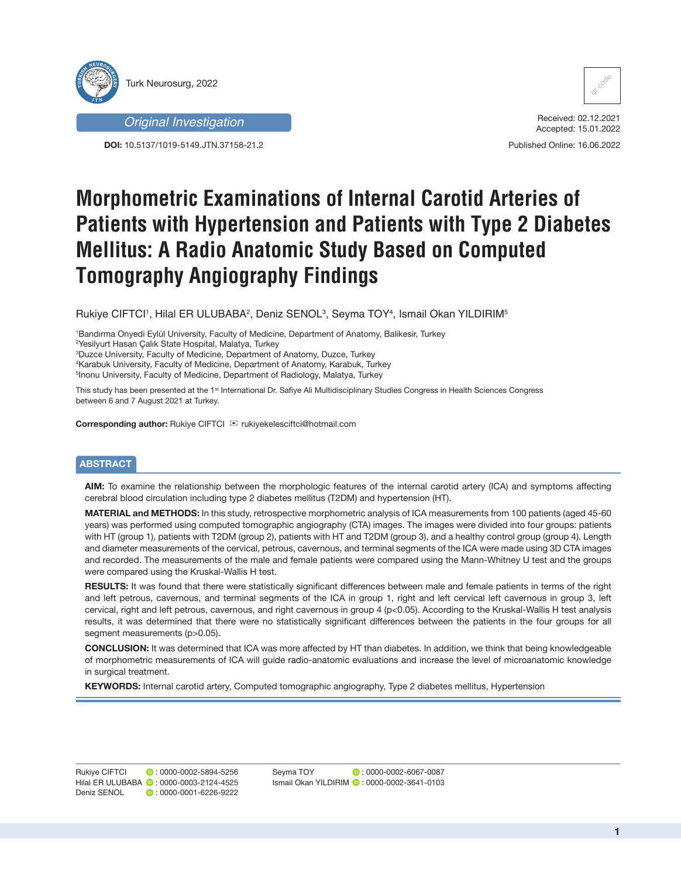



**DOI:** 10.5137/1019-5149.JTN.37158-21.2



Received: 02.12.2021 Accepted: 15.01.2022

Published Online: 16.06.2022

# **Morphometric Examinations of Internal Carotid Arteries of Patients with Hypertension and Patients with Type 2 Diabetes Mellitus: A Radio Anatomic Study Based on Computed Tomography Angiography Findings**

Rukiye CIFTCI', Hilal ER ULUBABA<sup>2</sup>, Deniz SENOL<sup>3</sup>, Seyma TOY<sup>4</sup>, Ismail Okan YILDIRIM<sup>5</sup>

1 Bandırma Onyedi Eylül University, Faculty of Medicine, Department of Anatomy, Balikesir, Turkey

2 Yesilyurt Hasan Çalık State Hospital, Malatya, Turkey

3 Duzce University, Faculty of Medicine, Department of Anatomy, Duzce, Turkey

4 Karabuk University, Faculty of Medicine, Department of Anatomy, Karabuk, Turkey

5 Inonu University, Faculty of Medicine, Department of Radiology, Malatya, Turkey

This study has been presented at the 1<sup>st</sup> International Dr. Safiye Ali Multidisciplinary Studies Congress in Health Sciences Congress between 6 and 7 August 2021 at Turkey.

**Corresponding author:** Rukiye CIFTCI  $⊠$  rukiyekelesciftci@hotmail.com

# **ABSTRACT**

**AIM:** To examine the relationship between the morphologic features of the internal carotid artery (ICA) and symptoms affecting cerebral blood circulation including type 2 diabetes mellitus (T2DM) and hypertension (HT).

**MATERIAL and METHODS:** In this study, retrospective morphometric analysis of ICA measurements from 100 patients (aged 45-60 years) was performed using computed tomographic angiography (CTA) images. The images were divided into four groups: patients with HT (group 1), patients with T2DM (group 2), patients with HT and T2DM (group 3), and a healthy control group (group 4). Length and diameter measurements of the cervical, petrous, cavernous, and terminal segments of the ICA were made using 3D CTA images and recorded. The measurements of the male and female patients were compared using the Mann-Whitney U test and the groups were compared using the Kruskal-Wallis H test.

**RESULTS:** It was found that there were statistically significant differences between male and female patients in terms of the right and left petrous, cavernous, and terminal segments of the ICA in group 1, right and left cervical left cavernous in group 3, left cervical, right and left petrous, cavernous, and right cavernous in group 4 (p<0.05). According to the Kruskal-Wallis H test analysis results, it was determined that there were no statistically significant differences between the patients in the four groups for all segment measurements (p>0.05).

**CONCLUSION:** It was determined that ICA was more affected by HT than diabetes. In addition, we think that being knowledgeable of morphometric measurements of ICA will guide radio-anatomic evaluations and increase the level of microanatomic knowledge in surgical treatment.

**KEYWORDS:** Internal carotid artery, Computed tomographic angiography, Type 2 diabetes mellitus, Hypertension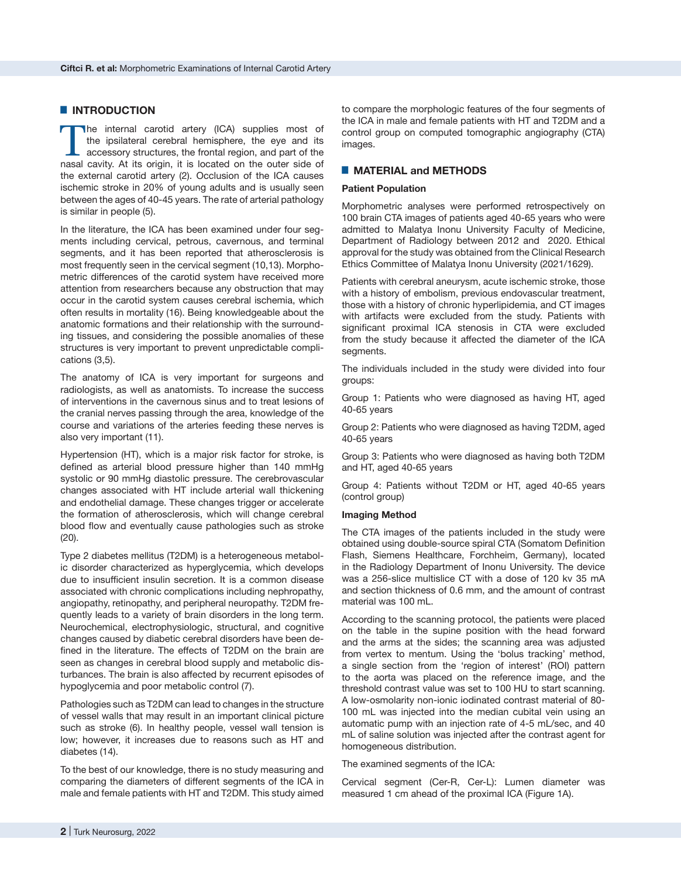## █ **INTRODUCTION**

The internal carotid artery (ICA) supplies most of the ipsilateral cerebral hemisphere, the eye and its accessory structures, the frontal region, and part of the nasal cavity. At its origin, it is located on the outer side of the external carotid artery (2). Occlusion of the ICA causes ischemic stroke in 20% of young adults and is usually seen between the ages of 40-45 years. The rate of arterial pathology is similar in people (5).

In the literature, the ICA has been examined under four segments including cervical, petrous, cavernous, and terminal segments, and it has been reported that atherosclerosis is most frequently seen in the cervical segment (10,13). Morphometric differences of the carotid system have received more attention from researchers because any obstruction that may occur in the carotid system causes cerebral ischemia, which often results in mortality (16). Being knowledgeable about the anatomic formations and their relationship with the surrounding tissues, and considering the possible anomalies of these structures is very important to prevent unpredictable complications (3,5).

The anatomy of ICA is very important for surgeons and radiologists, as well as anatomists. To increase the success of interventions in the cavernous sinus and to treat lesions of the cranial nerves passing through the area, knowledge of the course and variations of the arteries feeding these nerves is also very important (11).

Hypertension (HT), which is a major risk factor for stroke, is defined as arterial blood pressure higher than 140 mmHg systolic or 90 mmHg diastolic pressure. The cerebrovascular changes associated with HT include arterial wall thickening and endothelial damage. These changes trigger or accelerate the formation of atherosclerosis, which will change cerebral blood flow and eventually cause pathologies such as stroke (20).

Type 2 diabetes mellitus (T2DM) is a heterogeneous metabolic disorder characterized as hyperglycemia, which develops due to insufficient insulin secretion. It is a common disease associated with chronic complications including nephropathy, angiopathy, retinopathy, and peripheral neuropathy. T2DM frequently leads to a variety of brain disorders in the long term. Neurochemical, electrophysiologic, structural, and cognitive changes caused by diabetic cerebral disorders have been defined in the literature. The effects of T2DM on the brain are seen as changes in cerebral blood supply and metabolic disturbances. The brain is also affected by recurrent episodes of hypoglycemia and poor metabolic control (7).

Pathologies such as T2DM can lead to changes in the structure of vessel walls that may result in an important clinical picture such as stroke (6). In healthy people, vessel wall tension is low; however, it increases due to reasons such as HT and diabetes (14).

To the best of our knowledge, there is no study measuring and comparing the diameters of different segments of the ICA in male and female patients with HT and T2DM. This study aimed

to compare the morphologic features of the four segments of the ICA in male and female patients with HT and T2DM and a control group on computed tomographic angiography (CTA) images.

## █ **MATERIAL and METHODS**

### **Patient Population**

Morphometric analyses were performed retrospectively on 100 brain CTA images of patients aged 40-65 years who were admitted to Malatya Inonu University Faculty of Medicine, Department of Radiology between 2012 and 2020. Ethical approval for the study was obtained from the Clinical Research Ethics Committee of Malatya Inonu University (2021/1629).

Patients with cerebral aneurysm, acute ischemic stroke, those with a history of embolism, previous endovascular treatment, those with a history of chronic hyperlipidemia, and CT images with artifacts were excluded from the study. Patients with significant proximal ICA stenosis in CTA were excluded from the study because it affected the diameter of the ICA segments.

The individuals included in the study were divided into four groups:

Group 1: Patients who were diagnosed as having HT, aged 40-65 years

Group 2: Patients who were diagnosed as having T2DM, aged 40-65 years

Group 3: Patients who were diagnosed as having both T2DM and HT, aged 40-65 years

Group 4: Patients without T2DM or HT, aged 40-65 years (control group)

#### **Imaging Method**

The CTA images of the patients included in the study were obtained using double-source spiral CTA (Somatom Definition Flash, Siemens Healthcare, Forchheim, Germany), located in the Radiology Department of Inonu University. The device was a 256-slice multislice CT with a dose of 120 kv 35 mA and section thickness of 0.6 mm, and the amount of contrast material was 100 mL.

According to the scanning protocol, the patients were placed on the table in the supine position with the head forward and the arms at the sides; the scanning area was adjusted from vertex to mentum. Using the 'bolus tracking' method, a single section from the 'region of interest' (ROI) pattern to the aorta was placed on the reference image, and the threshold contrast value was set to 100 HU to start scanning. A low-osmolarity non-ionic iodinated contrast material of 80- 100 mL was injected into the median cubital vein using an automatic pump with an injection rate of 4-5 mL/sec, and 40 mL of saline solution was injected after the contrast agent for homogeneous distribution.

The examined segments of the ICA:

Cervical segment (Cer-R, Cer-L): Lumen diameter was measured 1 cm ahead of the proximal ICA (Figure 1A).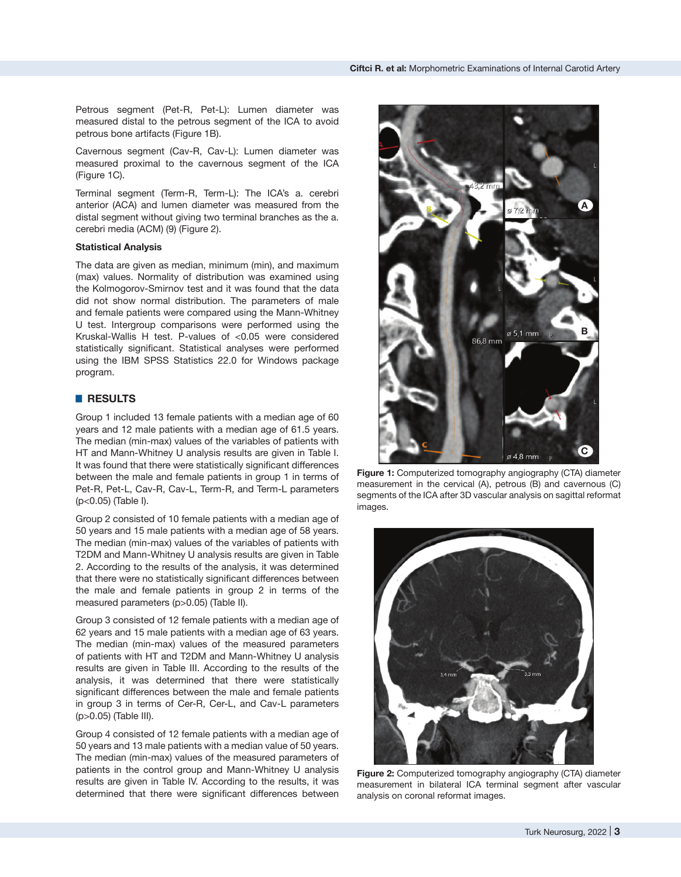Petrous segment (Pet-R, Pet-L): Lumen diameter was measured distal to the petrous segment of the ICA to avoid petrous bone artifacts (Figure 1B).

Cavernous segment (Cav-R, Cav-L): Lumen diameter was measured proximal to the cavernous segment of the ICA (Figure 1C).

Terminal segment (Term-R, Term-L): The ICA's a. cerebri anterior (ACA) and lumen diameter was measured from the distal segment without giving two terminal branches as the a. cerebri media (ACM) (9) (Figure 2).

## **Statistical Analysis**

The data are given as median, minimum (min), and maximum (max) values. Normality of distribution was examined using the Kolmogorov-Smirnov test and it was found that the data did not show normal distribution. The parameters of male and female patients were compared using the Mann-Whitney U test. Intergroup comparisons were performed using the Kruskal-Wallis H test. P-values of <0.05 were considered statistically significant. Statistical analyses were performed using the IBM SPSS Statistics 22.0 for Windows package program.

## █ **RESULTS**

Group 1 included 13 female patients with a median age of 60 years and 12 male patients with a median age of 61.5 years. The median (min-max) values of the variables of patients with HT and Mann-Whitney U analysis results are given in Table I. It was found that there were statistically significant differences between the male and female patients in group 1 in terms of Pet-R, Pet-L, Cav-R, Cav-L, Term-R, and Term-L parameters (p<0.05) (Table I).

Group 2 consisted of 10 female patients with a median age of 50 years and 15 male patients with a median age of 58 years. The median (min-max) values of the variables of patients with T2DM and Mann-Whitney U analysis results are given in Table 2. According to the results of the analysis, it was determined that there were no statistically significant differences between the male and female patients in group 2 in terms of the measured parameters (p>0.05) (Table II).

Group 3 consisted of 12 female patients with a median age of 62 years and 15 male patients with a median age of 63 years. The median (min-max) values of the measured parameters of patients with HT and T2DM and Mann-Whitney U analysis results are given in Table III. According to the results of the analysis, it was determined that there were statistically significant differences between the male and female patients in group 3 in terms of Cer-R, Cer-L, and Cav-L parameters (p>0.05) (Table III).

Group 4 consisted of 12 female patients with a median age of 50 years and 13 male patients with a median value of 50 years. The median (min-max) values of the measured parameters of patients in the control group and Mann-Whitney U analysis results are given in Table IV. According to the results, it was determined that there were significant differences between



**Figure 1:** Computerized tomography angiography (CTA) diameter measurement in the cervical (A), petrous (B) and cavernous (C) segments of the ICA after 3D vascular analysis on sagittal reformat images.



**Figure 2:** Computerized tomography angiography (CTA) diameter measurement in bilateral ICA terminal segment after vascular analysis on coronal reformat images.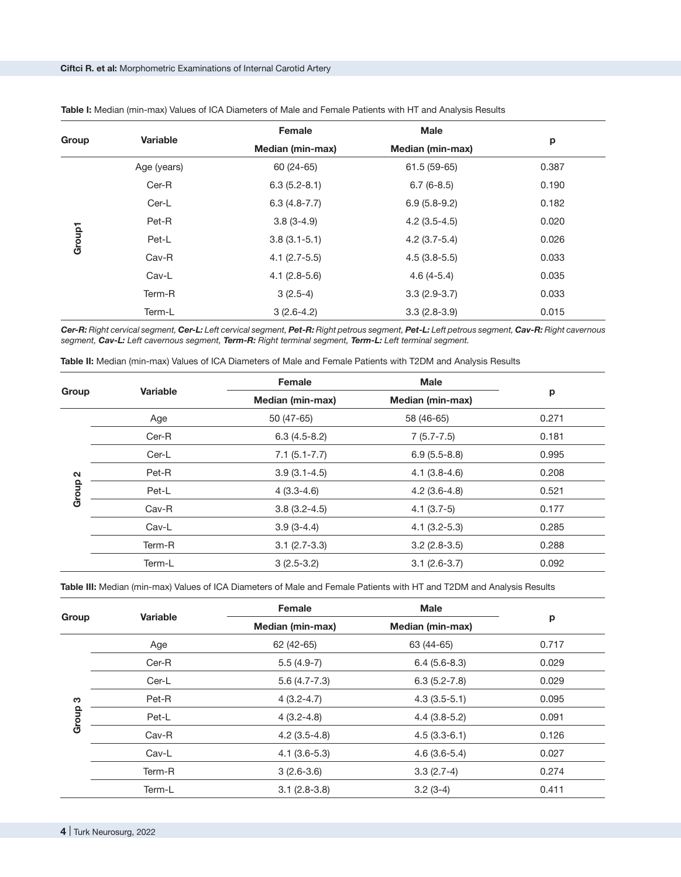| Group  | <b>Variable</b> | Female                  | <b>Male</b>             | p     |
|--------|-----------------|-------------------------|-------------------------|-------|
|        |                 | <b>Median (min-max)</b> | <b>Median (min-max)</b> |       |
|        | Age (years)     | 60 (24-65)              | 61.5 (59-65)            | 0.387 |
|        | Cer-R           | $6.3(5.2-8.1)$          | $6.7(6-8.5)$            | 0.190 |
|        | Cer-L           | $6.3(4.8-7.7)$          | $6.9(5.8-9.2)$          | 0.182 |
|        | Pet-R           | $3.8(3-4.9)$            | $4.2$ (3.5-4.5)         | 0.020 |
| Group1 | Pet-L           | $3.8(3.1-5.1)$          | $4.2$ (3.7-5.4)         | 0.026 |
|        | Cav-R           | $4.1 (2.7 - 5.5)$       | $4.5(3.8-5.5)$          | 0.033 |
|        | Cav-L           | $4.1(2.8-5.6)$          | $4.6(4-5.4)$            | 0.035 |
|        | Term-R          | $3(2.5-4)$              | $3.3(2.9-3.7)$          | 0.033 |
|        | Term-L          | $3(2.6-4.2)$            | $3.3(2.8-3.9)$          | 0.015 |

**Table I:** Median (min-max) Values of ICA Diameters of Male and Female Patients with HT and Analysis Results

*Cer-R: Right cervical segment, Cer-L: Left cervical segment, Pet-R: Right petrous segment, Pet-L: Left petrous segment, Cav-R: Right cavernous segment, Cav-L: Left cavernous segment, Term-R: Right terminal segment, Term-L: Left terminal segment.*

| Table II: Median (min-max) Values of ICA Diameters of Male and Female Patients with T2DM and Analysis Results |  |  |
|---------------------------------------------------------------------------------------------------------------|--|--|
|---------------------------------------------------------------------------------------------------------------|--|--|

|                   | Variable | <b>Female</b>    | <b>Male</b>             |       |
|-------------------|----------|------------------|-------------------------|-------|
| Group             |          | Median (min-max) | <b>Median (min-max)</b> | р     |
|                   | Age      | 50 (47-65)       | 58 (46-65)              | 0.271 |
|                   | $Cer-R$  | $6.3(4.5-8.2)$   | $7(5.7 - 7.5)$          | 0.181 |
|                   | Cer-L    | $7.1(5.1 - 7.7)$ | $6.9(5.5-8.8)$          | 0.995 |
| $\mathbf{\Omega}$ | Pet-R    | $3.9(3.1-4.5)$   | $4.1(3.8-4.6)$          | 0.208 |
| Group             | Pet-L    | $4(3.3-4.6)$     | $4.2(3.6-4.8)$          | 0.521 |
|                   | Cav-R    | $3.8(3.2-4.5)$   | $4.1(3.7-5)$            | 0.177 |
|                   | Cav-L    | $3.9(3-4.4)$     | $4.1(3.2-5.3)$          | 0.285 |
|                   | Term-R   | $3.1(2.7-3.3)$   | $3.2(2.8-3.5)$          | 0.288 |
|                   | Term-L   | $3(2.5-3.2)$     | $3.1 (2.6 - 3.7)$       | 0.092 |

**Table III:** Median (min-max) Values of ICA Diameters of Male and Female Patients with HT and T2DM and Analysis Results

|       | Variable | Female                  | <b>Male</b>             | p     |
|-------|----------|-------------------------|-------------------------|-------|
| Group |          | <b>Median (min-max)</b> | <b>Median (min-max)</b> |       |
|       | Age      | 62 (42-65)              | 63 (44-65)              | 0.717 |
|       | $Cer-R$  | $5.5(4.9-7)$            | $6.4(5.6-8.3)$          | 0.029 |
|       | Cer-L    | $5.6(4.7 - 7.3)$        | $6.3(5.2 - 7.8)$        | 0.029 |
| က     | Pet-R    | $4(3.2 - 4.7)$          | $4.3(3.5-5.1)$          | 0.095 |
| Group | Pet-L    | $4(3.2 - 4.8)$          | $4.4(3.8-5.2)$          | 0.091 |
|       | $Cav-R$  | $4.2$ (3.5-4.8)         | $4.5(3.3-6.1)$          | 0.126 |
|       | Cav-L    | $4.1(3.6-5.3)$          | $4.6(3.6-5.4)$          | 0.027 |
|       | Term-R   | $3(2.6-3.6)$            | $3.3(2.7-4)$            | 0.274 |
|       | Term-L   | $3.1(2.8-3.8)$          | $3.2(3-4)$              | 0.411 |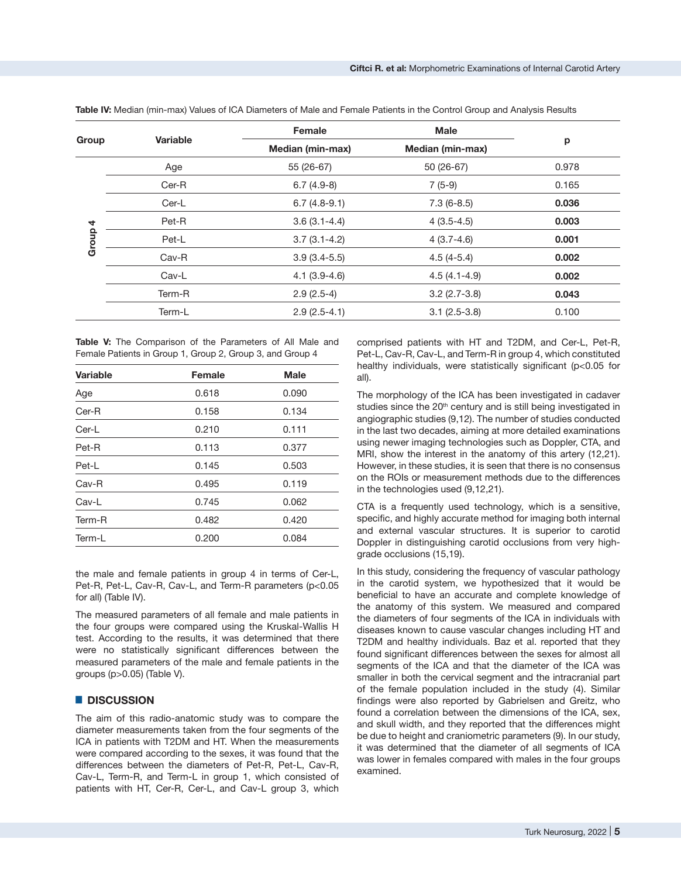|       |          | Female                  | <b>Male</b>      | p     |
|-------|----------|-------------------------|------------------|-------|
| Group | Variable | <b>Median (min-max)</b> | Median (min-max) |       |
|       | Age      | 55 (26-67)              | $50(26-67)$      | 0.978 |
|       | Cer-R    | $6.7(4.9-8)$            | $7(5-9)$         | 0.165 |
|       | Cer-L    | $6.7(4.8-9.1)$          | $7.3(6-8.5)$     | 0.036 |
| 4     | Pet-R    | $3.6(3.1-4.4)$          | $4(3.5-4.5)$     | 0.003 |
| Group | Pet-L    | $3.7(3.1-4.2)$          | $4(3.7-4.6)$     | 0.001 |
|       | Cav-R    | $3.9(3.4-5.5)$          | $4.5(4-5.4)$     | 0.002 |
|       | Cav-L    | $4.1(3.9-4.6)$          | $4.5(4.1-4.9)$   | 0.002 |
|       | Term-R   | $2.9(2.5-4)$            | $3.2(2.7-3.8)$   | 0.043 |
|       | Term-L   | $2.9(2.5-4.1)$          | $3.1(2.5-3.8)$   | 0.100 |

**Table IV:** Median (min-max) Values of ICA Diameters of Male and Female Patients in the Control Group and Analysis Results

**Table V:** The Comparison of the Parameters of All Male and Female Patients in Group 1, Group 2, Group 3, and Group 4

| <b>Variable</b> | <b>Female</b> | <b>Male</b> |
|-----------------|---------------|-------------|
| Age             | 0.618         | 0.090       |
| $Cer-R$         | 0.158         | 0.134       |
| Cer-L           | 0.210         | 0.111       |
| Pet-R           | 0.113         | 0.377       |
| Pet-L           | 0.145         | 0.503       |
| Cav-R           | 0.495         | 0.119       |
| Cav-L           | 0.745         | 0.062       |
| Term-R          | 0.482         | 0.420       |
| Term-L          | 0.200         | 0.084       |

the male and female patients in group 4 in terms of Cer-L, Pet-R, Pet-L, Cav-R, Cav-L, and Term-R parameters (p<0.05 for all) (Table IV).

The measured parameters of all female and male patients in the four groups were compared using the Kruskal-Wallis H test. According to the results, it was determined that there were no statistically significant differences between the measured parameters of the male and female patients in the groups (p>0.05) (Table V).

## █ **DISCUSSION**

The aim of this radio-anatomic study was to compare the diameter measurements taken from the four segments of the ICA in patients with T2DM and HT. When the measurements were compared according to the sexes, it was found that the differences between the diameters of Pet-R, Pet-L, Cav-R, Cav-L, Term-R, and Term-L in group 1, which consisted of patients with HT, Cer-R, Cer-L, and Cav-L group 3, which

comprised patients with HT and T2DM, and Cer-L, Pet-R, Pet-L, Cav-R, Cav-L, and Term-R in group 4, which constituted healthy individuals, were statistically significant (p<0.05 for all).

The morphology of the ICA has been investigated in cadaver studies since the 20<sup>th</sup> century and is still being investigated in angiographic studies (9,12). The number of studies conducted in the last two decades, aiming at more detailed examinations using newer imaging technologies such as Doppler, CTA, and MRI, show the interest in the anatomy of this artery (12,21). However, in these studies, it is seen that there is no consensus on the ROIs or measurement methods due to the differences in the technologies used (9,12,21).

CTA is a frequently used technology, which is a sensitive, specific, and highly accurate method for imaging both internal and external vascular structures. It is superior to carotid Doppler in distinguishing carotid occlusions from very highgrade occlusions (15,19).

In this study, considering the frequency of vascular pathology in the carotid system, we hypothesized that it would be beneficial to have an accurate and complete knowledge of the anatomy of this system. We measured and compared the diameters of four segments of the ICA in individuals with diseases known to cause vascular changes including HT and T2DM and healthy individuals. Baz et al. reported that they found significant differences between the sexes for almost all segments of the ICA and that the diameter of the ICA was smaller in both the cervical segment and the intracranial part of the female population included in the study (4). Similar findings were also reported by Gabrielsen and Greitz, who found a correlation between the dimensions of the ICA, sex, and skull width, and they reported that the differences might be due to height and craniometric parameters (9). In our study, it was determined that the diameter of all segments of ICA was lower in females compared with males in the four groups examined.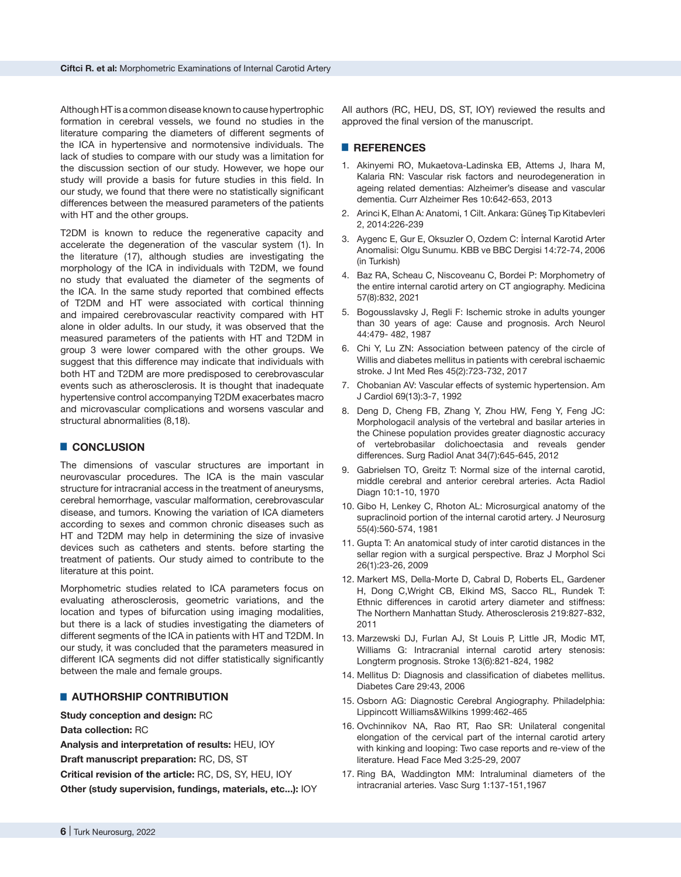Although HT is a common disease known to cause hypertrophic formation in cerebral vessels, we found no studies in the literature comparing the diameters of different segments of the ICA in hypertensive and normotensive individuals. The lack of studies to compare with our study was a limitation for the discussion section of our study. However, we hope our study will provide a basis for future studies in this field. In our study, we found that there were no statistically significant differences between the measured parameters of the patients with HT and the other groups.

T2DM is known to reduce the regenerative capacity and accelerate the degeneration of the vascular system (1). In the literature (17), although studies are investigating the morphology of the ICA in individuals with T2DM, we found no study that evaluated the diameter of the segments of the ICA. In the same study reported that combined effects of T2DM and HT were associated with cortical thinning and impaired cerebrovascular reactivity compared with HT alone in older adults. In our study, it was observed that the measured parameters of the patients with HT and T2DM in group 3 were lower compared with the other groups. We suggest that this difference may indicate that individuals with both HT and T2DM are more predisposed to cerebrovascular events such as atherosclerosis. It is thought that inadequate hypertensive control accompanying T2DM exacerbates macro and microvascular complications and worsens vascular and structural abnormalities (8,18).

## █ **CONCLUSION**

The dimensions of vascular structures are important in neurovascular procedures. The ICA is the main vascular structure for intracranial access in the treatment of aneurysms, cerebral hemorrhage, vascular malformation, cerebrovascular disease, and tumors. Knowing the variation of ICA diameters according to sexes and common chronic diseases such as HT and T2DM may help in determining the size of invasive devices such as catheters and stents. before starting the treatment of patients. Our study aimed to contribute to the literature at this point.

Morphometric studies related to ICA parameters focus on evaluating atherosclerosis, geometric variations, and the location and types of bifurcation using imaging modalities, but there is a lack of studies investigating the diameters of different segments of the ICA in patients with HT and T2DM. In our study, it was concluded that the parameters measured in different ICA segments did not differ statistically significantly between the male and female groups.

## █ **AUTHORSHIP CONTRIBUTION**

**Study conception and design:** RC

**Data collection:** RC

**Analysis and interpretation of results:** HEU, IOY

**Draft manuscript preparation:** RC, DS, ST

**Critical revision of the article:** RC, DS, SY, HEU, IOY

**Other (study supervision, fundings, materials, etc...):** IOY

All authors (RC, HEU, DS, ST, IOY) reviewed the results and approved the final version of the manuscript.

## █ **REFERENCES**

- 1. Akinyemi RO, Mukaetova-Ladinska EB, Attems J, Ihara M, Kalaria RN: Vascular risk factors and neurodegeneration in ageing related dementias: Alzheimer's disease and vascular dementia. Curr Alzheimer Res 10:642-653, 2013
- 2. Arinci K, Elhan A: Anatomi, 1 Cilt. Ankara: Güneş Tıp Kitabevleri 2, 2014:226-239
- 3. Aygenc E, Gur E, Oksuzler O, Ozdem C: İnternal Karotid Arter Anomalisi: Olgu Sunumu. KBB ve BBC Dergisi 14:72-74, 2006 (in Turkish)
- 4. Baz RA, Scheau C, Niscoveanu C, Bordei P: Morphometry of the entire internal carotid artery on CT angiography. Medicina 57(8):832, 2021
- 5. Bogousslavsky J, Regli F: Ischemic stroke in adults younger than 30 years of age: Cause and prognosis. Arch Neurol 44:479- 482, 1987
- 6. Chi Y, Lu ZN: Association between patency of the circle of Willis and diabetes mellitus in patients with cerebral ischaemic stroke. J Int Med Res 45(2):723-732, 2017
- 7. Chobanian AV: Vascular effects of systemic hypertension. Am J Cardiol 69(13):3-7, 1992
- 8. Deng D, Cheng FB, Zhang Y, Zhou HW, Feng Y, Feng JC: Morphologacil analysis of the vertebral and basilar arteries in the Chinese population provides greater diagnostic accuracy of vertebrobasilar dolichoectasia and reveals gender differences. Surg Radiol Anat 34(7):645-645, 2012
- 9. Gabrielsen TO, Greitz T: Normal size of the internal carotid, middle cerebral and anterior cerebral arteries. Acta Radiol Diagn 10:1-10, 1970
- 10. Gibo H, Lenkey C, Rhoton AL: Microsurgical anatomy of the supraclinoid portion of the internal carotid artery. J Neurosurg 55(4):560-574, 1981
- 11. Gupta T: An anatomical study of inter carotid distances in the sellar region with a surgical perspective. Braz J Morphol Sci 26(1):23-26, 2009
- 12. Markert MS, Della-Morte D, Cabral D, Roberts EL, Gardener H, Dong C,Wright CB, Elkind MS, Sacco RL, Rundek T: Ethnic differences in carotid artery diameter and stiffness: The Northern Manhattan Study. Atherosclerosis 219:827-832, 2011
- 13. Marzewski DJ, Furlan AJ, St Louis P, Little JR, Modic MT, Williams G: Intracranial internal carotid artery stenosis: Longterm prognosis. Stroke 13(6):821-824, 1982
- 14. Mellitus D: Diagnosis and classification of diabetes mellitus. Diabetes Care 29:43, 2006
- 15. Osborn AG: Diagnostic Cerebral Angiography. Philadelphia: Lippincott Williams&Wilkins 1999:462-465
- 16. Ovchinnikov NA, Rao RT, Rao SR: Unilateral congenital elongation of the cervical part of the internal carotid artery with kinking and looping: Two case reports and re-view of the literature. Head Face Med 3:25-29, 2007
- 17. Ring BA, Waddington MM: Intraluminal diameters of the intracranial arteries. Vasc Surg 1:137-151,1967